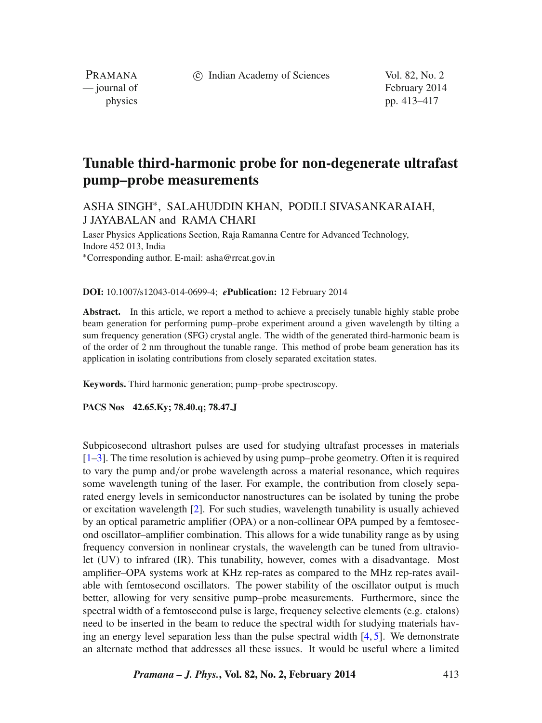c Indian Academy of Sciences Vol. 82, No. 2

PRAMANA

— journal of February 2014 physics pp. 413–417

# **Tunable third-harmonic probe for non-degenerate ultrafast pump–probe measurements**

## ASHA SINGH∗, SALAHUDDIN KHAN, PODILI SIVASANKARAIAH, J JAYABALAN and RAMA CHARI

Laser Physics Applications Section, Raja Ramanna Centre for Advanced Technology, Indore 452 013, India <sup>∗</sup>Corresponding author. E-mail: asha@rrcat.gov.in

#### **DOI:** 10.1007/s12043-014-0699-4; *e***Publication:** 12 February 2014

**Abstract.** In this article, we report a method to achieve a precisely tunable highly stable probe beam generation for performing pump–probe experiment around a given wavelength by tilting a sum frequency generation (SFG) crystal angle. The width of the generated third-harmonic beam is of the order of 2 nm throughout the tunable range. This method of probe beam generation has its application in isolating contributions from closely separated excitation states.

**Keywords.** Third harmonic generation; pump–probe spectroscopy.

**PACS Nos 42.65.Ky; 78.40.q; 78.47.J**

Subpicosecond ultrashort pulses are used for studying ultrafast processes in materials  $[1–3]$  $[1–3]$ . The time resolution is achieved by using pump–probe geometry. Often it is required to vary the pump and*/*or probe wavelength across a material resonance, which requires some wavelength tuning of the laser. For example, the contribution from closely separated energy levels in semiconductor nanostructures can be isolated by tuning the probe or excitation wavelength [\[2\]](#page-4-2). For such studies, wavelength tunability is usually achieved by an optical parametric amplifier (OPA) or a non-collinear OPA pumped by a femtosecond oscillator–amplifier combination. This allows for a wide tunability range as by using frequency conversion in nonlinear crystals, the wavelength can be tuned from ultraviolet (UV) to infrared (IR). This tunability, however, comes with a disadvantage. Most amplifier–OPA systems work at KHz rep-rates as compared to the MHz rep-rates available with femtosecond oscillators. The power stability of the oscillator output is much better, allowing for very sensitive pump–probe measurements. Furthermore, since the spectral width of a femtosecond pulse is large, frequency selective elements (e.g. etalons) need to be inserted in the beam to reduce the spectral width for studying materials having an energy level separation less than the pulse spectral width [\[4,](#page-4-3) [5\]](#page-4-4). We demonstrate an alternate method that addresses all these issues. It would be useful where a limited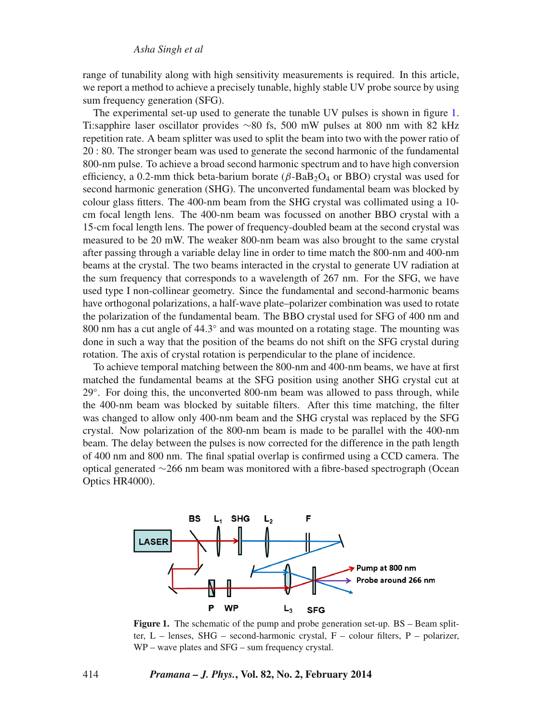range of tunability along with high sensitivity measurements is required. In this article, we report a method to achieve a precisely tunable, highly stable UV probe source by using sum frequency generation (SFG).

The experimental set-up used to generate the tunable UV pulses is shown in figure [1.](#page-1-0) Ti:sapphire laser oscillator provides ∼80 fs, 500 mW pulses at 800 nm with 82 kHz repetition rate. A beam splitter was used to split the beam into two with the power ratio of 20 : 80. The stronger beam was used to generate the second harmonic of the fundamental 800-nm pulse. To achieve a broad second harmonic spectrum and to have high conversion efficiency, a 0.2-mm thick beta-barium borate  $(\beta$ -BaB<sub>2</sub>O<sub>4</sub> or BBO) crystal was used for second harmonic generation (SHG). The unconverted fundamental beam was blocked by colour glass fitters. The 400-nm beam from the SHG crystal was collimated using a 10 cm focal length lens. The 400-nm beam was focussed on another BBO crystal with a 15-cm focal length lens. The power of frequency-doubled beam at the second crystal was measured to be 20 mW. The weaker 800-nm beam was also brought to the same crystal after passing through a variable delay line in order to time match the 800-nm and 400-nm beams at the crystal. The two beams interacted in the crystal to generate UV radiation at the sum frequency that corresponds to a wavelength of 267 nm. For the SFG, we have used type I non-collinear geometry. Since the fundamental and second-harmonic beams have orthogonal polarizations, a half-wave plate–polarizer combination was used to rotate the polarization of the fundamental beam. The BBO crystal used for SFG of 400 nm and 800 nm has a cut angle of 44.3° and was mounted on a rotating stage. The mounting was done in such a way that the position of the beams do not shift on the SFG crystal during rotation. The axis of crystal rotation is perpendicular to the plane of incidence.

To achieve temporal matching between the 800-nm and 400-nm beams, we have at first matched the fundamental beams at the SFG position using another SHG crystal cut at 29◦. For doing this, the unconverted 800-nm beam was allowed to pass through, while the 400-nm beam was blocked by suitable filters. After this time matching, the filter was changed to allow only 400-nm beam and the SHG crystal was replaced by the SFG crystal. Now polarization of the 800-nm beam is made to be parallel with the 400-nm beam. The delay between the pulses is now corrected for the difference in the path length of 400 nm and 800 nm. The final spatial overlap is confirmed using a CCD camera. The optical generated ∼266 nm beam was monitored with a fibre-based spectrograph (Ocean Optics HR4000).

<span id="page-1-0"></span>

**Figure 1.** The schematic of the pump and probe generation set-up. BS – Beam splitter, L – lenses, SHG – second-harmonic crystal, F – colour filters, P – polarizer, WP – wave plates and SFG – sum frequency crystal.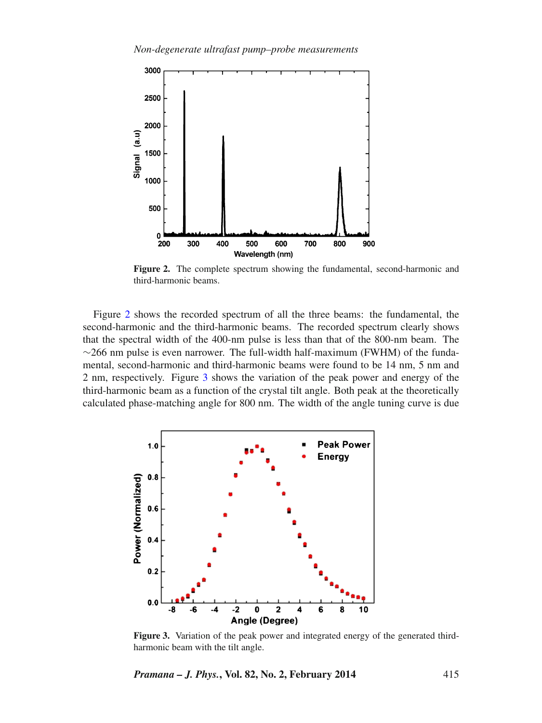<span id="page-2-0"></span>

**Figure 2.** The complete spectrum showing the fundamental, second-harmonic and third-harmonic beams.

Figure [2](#page-2-0) shows the recorded spectrum of all the three beams: the fundamental, the second-harmonic and the third-harmonic beams. The recorded spectrum clearly shows that the spectral width of the 400-nm pulse is less than that of the 800-nm beam. The  $\sim$ 266 nm pulse is even narrower. The full-width half-maximum (FWHM) of the fundamental, second-harmonic and third-harmonic beams were found to be 14 nm, 5 nm and 2 nm, respectively. Figure [3](#page-2-1) shows the variation of the peak power and energy of the third-harmonic beam as a function of the crystal tilt angle. Both peak at the theoretically calculated phase-matching angle for 800 nm. The width of the angle tuning curve is due

<span id="page-2-1"></span>

Figure 3. Variation of the peak power and integrated energy of the generated thirdharmonic beam with the tilt angle.

*Pramana – J. Phys.***, Vol. 82, No. 2, February 2014** 415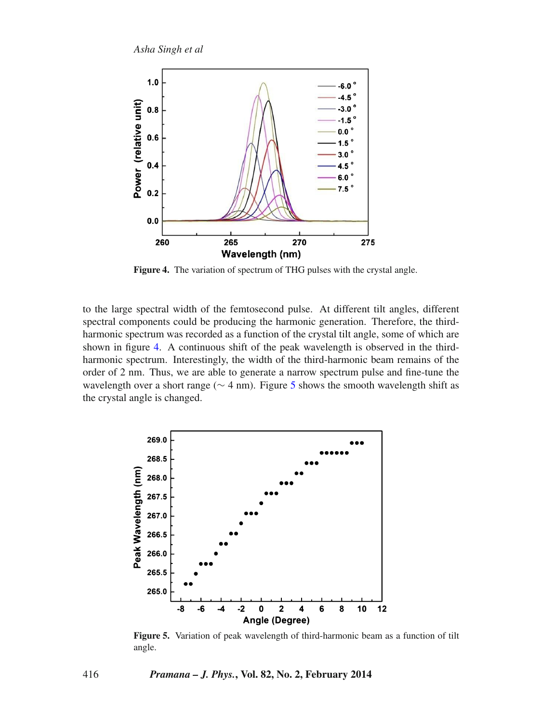<span id="page-3-0"></span>

**Figure 4.** The variation of spectrum of THG pulses with the crystal angle.

to the large spectral width of the femtosecond pulse. At different tilt angles, different spectral components could be producing the harmonic generation. Therefore, the thirdharmonic spectrum was recorded as a function of the crystal tilt angle, some of which are shown in figure [4.](#page-3-0) A continuous shift of the peak wavelength is observed in the thirdharmonic spectrum. Interestingly, the width of the third-harmonic beam remains of the order of 2 nm. Thus, we are able to generate a narrow spectrum pulse and fine-tune the wavelength over a short range (∼ 4 nm). Figure [5](#page-3-1) shows the smooth wavelength shift as the crystal angle is changed.

<span id="page-3-1"></span>

**Figure 5.** Variation of peak wavelength of third-harmonic beam as a function of tilt angle.

416 *Pramana – J. Phys.***, Vol. 82, No. 2, February 2014**